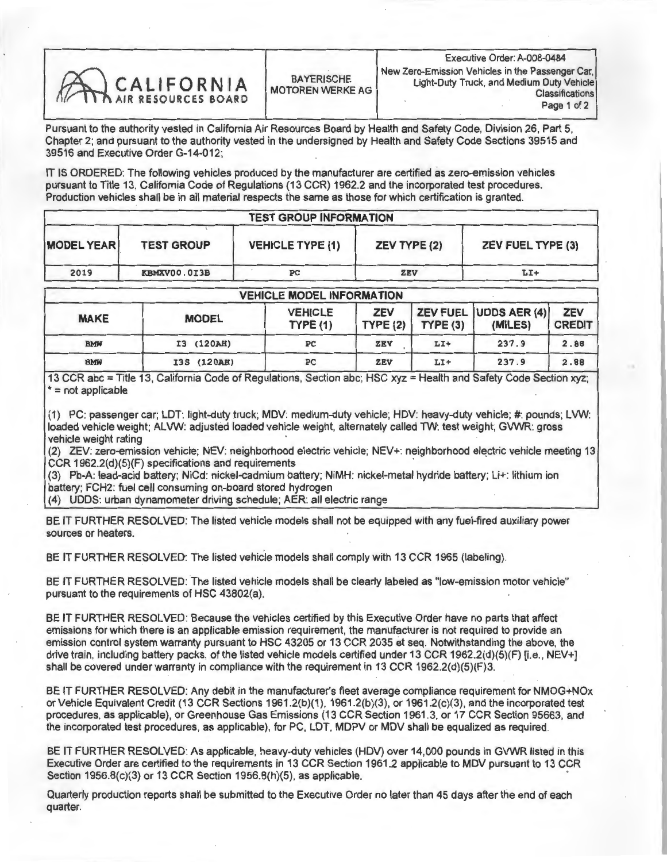| CALIFORNIA<br><b>BAYERISCHE</b><br>MOTOREN WERKE AG | Executive Orger: A-008-0484<br>New Zero-Emission Vehicles in the Passenger Car<br>Light-Duty Truck, and Medium Duty Vehicle<br>Classification<br>Page 1 of 2 |
|-----------------------------------------------------|--------------------------------------------------------------------------------------------------------------------------------------------------------------|
|-----------------------------------------------------|--------------------------------------------------------------------------------------------------------------------------------------------------------------|

Pursuant to the authority vested in California Air Resources Board by Health and Safety Code, Division 26, Part 5, Chapter 2; and pursuant to the authority vested in the undersigned by Health and Safety Code Sections 39515 and 39516 and Executive Order G-14-012;

IT IS ORDERED: The following vehicles produced by the manufacturer are certified as zero-emission vehicles pursuant to Title 13, California Code of Regulations (13 CCR) 1962.2 and the incorporated test procedures. Production vehicles shall be in all material respects the same as those for which certification is granted.

## TEST GROUP INFORMATION

| <b>MODEL YEAR</b> | <b>TEST GROUP</b> | <b>VEHICLE TYPE (1)</b> | <b>ZEV TYPE (2)</b> | <b>ZEV FUEL TYPE (3)</b> |  |  |  |
|-------------------|-------------------|-------------------------|---------------------|--------------------------|--|--|--|
| 2019              | KBMXV00.0I3B      | PС                      | ZEV                 | $LT+$                    |  |  |  |

| <b>VEHICLE MODEL INFORMATION</b> |              |                                   |                       |         |                                  |                             |  |  |  |
|----------------------------------|--------------|-----------------------------------|-----------------------|---------|----------------------------------|-----------------------------|--|--|--|
| <b>MAKE</b>                      | <b>MODEL</b> | <b>VEHICLE</b><br><b>TYPE (1)</b> | <b>ZEV</b><br>TYPE(2) | TYPE(3) | ZEV FUEL UDDS AER (4)<br>(MILES) | <b>ZEV</b><br><b>CREDIT</b> |  |  |  |
| <b>BMW</b>                       | I3 (120AH)   | PC                                | ZEV                   | $LT+$   | 237.9                            | 2.88                        |  |  |  |
| <b>BMW</b>                       | I3S (120AH)  | PC                                | ZEV                   | $LI+$   | 237.9                            | 2.88                        |  |  |  |

13 CCR abc = Title 13, California Code of Regulations, Section abc; HSC xyz = Health and Safety Code Section xyz; \*= not applicable

(1) PC: passenger car; LDT: light-duty truck; MDV: medium-duty vehicle; HDV: heavy-duty vehicle; #: pounds; LVW: loaded vehicle weight; ALVW: adjusted loaded vehicle weight, alternately called TW: test weight; GVWR: gross vehicle weight rating

(2) ZEV: zero-emission vehicle; NEV: neighborhood electric vehicle; NEV+: neighborhood electric vehicle meeting 13 CCR 1962.2(d)(5)(F) specifications and requirements

(3) Pb-A: lead-acid battery; NiCd: nickel-cadmium battery; NiMH: nickel-metal hydride battery; Li+: lithium ion battery; FCH2: fuel cell consuming on-board stored hydrogen

(4) UDDS: urban dynamometer driving schedule; AER: all electric range

BE IT FURTHER RESOLVED: The listed vehicle models shall not be equipped with any fuel-fired auxiliary power sources or heaters.

BE IT FURTHER RESOLVED: The listed vehicle models shall comply with 13 CCR 1965 (labeling).

BE IT FURTHER RESOLVED: The listed vehicle models shall be clearly labeled as "low-emission motor vehicle" pursuant to the requirements of HSC 43802(a).

BE IT FURTHER RESOLVED: Because the vehicles certified by this Executive Order have no parts that affect emissions for which there is an applicable emission requirement, the manufacturer is not required to provide an emission control system warranty pursuant to HSC 43205 or 13 CCR 2035 et seq. Notwithstanding the above, the drive train, including battery packs, of the listed vehicle models certified under 13 CCR 1962.2(d)(5)(F) [i.e., NEV+] shall be covered under warranty in compliance with the requirement in 13 CCR 1962.2(d)(5)(F)3.

BE IT FURTHER RESOLVED: Any debit in the manufacturer's fleet average compliance requirement for NMOG+NOx or Vehicle Equivalent Credit (13 CCR Sections 1961.2(b)(1), 1961.2(b)(3), or 1961.2(c)(3), and the incorporated test procedures, as applicable), or Greenhouse Gas Emissions (13 CCR Section 1961.3, or 17 CCR Section 95663, and the incorporated test procedures, as applicable), for PC, LDT, MDPV or MDV shall be equalized as required.

BE IT FURTHER RESOLVED: As applicable, heavy-duty vehicles (HDV) over 14,000 pounds in GVWR listed in this Executive Order are certified to the requirements in 13 CCR Section 1961.2 applicable to MDV pursuant to 13 CCR Section 1956.8(c)(3) or 13 CCR Section 1956.8(h)(5), as applicable.

Quarterly production reports shall be submitted to the Executive Order no later than 45 days after the end of each quarter.